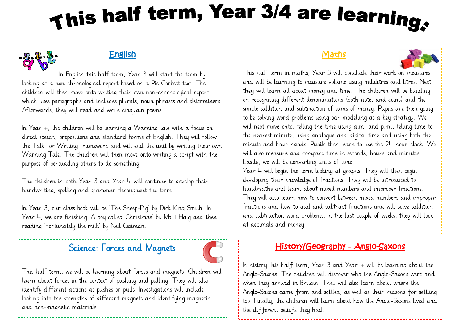# This half term, Year 3/4 are learning.

# English

 In English this half term, Year 3 will start the term by looking at a non-chronological report based on a Pie Corbett text. The children will then move onto writing their own non-chronological report which uses paragraphs and includes plurals, noun phrases and determiners. Afterwards, they will read and write cinquain poems.

In Year  $4$ , the children will be learning a Warning tale with a focus on direct speech, prepositions and standard forms of English. They will follow the Talk for Writing framework and will end the unit by writing their own Warning Tale. The children will then move onto writing a script with the purpose of persuading others to do something.

The children in both Year  $3$  and Year  $4$  will continue to develop their handwriting, spelling and grammar throughout the term.

In Year 3, our class book will be 'The Sheep-Pig' by Dick King Smith. In Year 4, we are finishing 'A boy called Christmas' by Matt Haig and then reading 'Fortunately the milk' by Neil Gaiman.

# Science: Forces and Magnets



This half term, we will be learning about forces and magnets. Children will learn about forces in the context of pushing and pulling. They will also identify different actions as pushes or pulls. Investigations will include looking into the strengths of different magnets and identifying magnetic and non-magnetic materials.

### **Maths**



This half term in maths, Year 3 will conclude their work on measures and will be learning to measure volume using millilitres and litres. Next, they will learn all about money and time. The children will be building on recognising different denominations (both notes and coins) and the simple addition and subtraction of sums of money. Pupils are then going to be solving word problems using bar modelling as a key strategy. We will next move onto: telling the time using a.m. and p.m., telling time to the nearest minute, using analogue and digital time and using both the minute and hour hands. Pupils then learn to use the 24-hour clock. We will also measure and compare time in seconds, hours and minutes. Lastly, we will be converting units of time.

Year  $\psi$  will begin the term looking at graphs. They will then begin developing their knowledge of fractions. They will be introduced to hundredths and learn about mixed numbers and improper fractions. They will also learn how to convert between mixed numbers and improper fractions and how to add and subtract fractions and will solve addition and subtraction word problems. In the last couple of weeks, they will look at decimals and money.

# History/Geography – Anglo-Saxons

In history this half term, Year 3 and Year  $4$  will be learning about the Anglo-Saxons. The children will discover who the Anglo-Saxons were and when they arrived in Britain. They will also learn about where the Anglo-Saxons came from and settled, as well as their reasons for settling too. Finally, the children will learn about how the Anglo-Saxons lived and the different beliefs they had.

f,